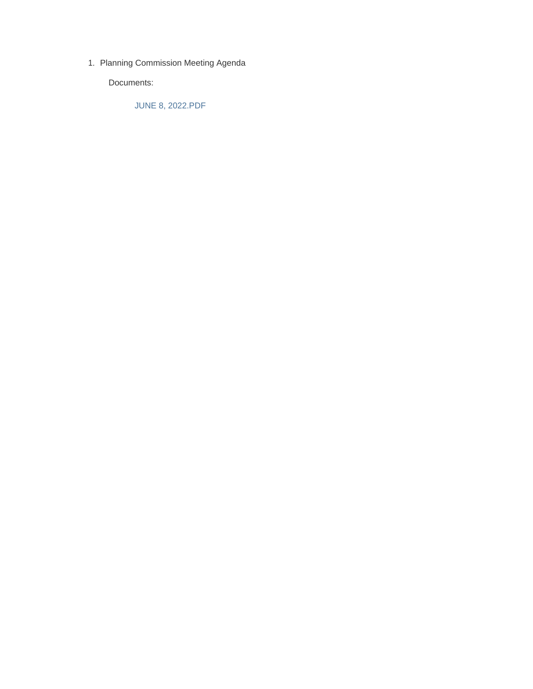1. Planning Commission Meeting Agenda

Documents:

JUNE 8, 2022.PDF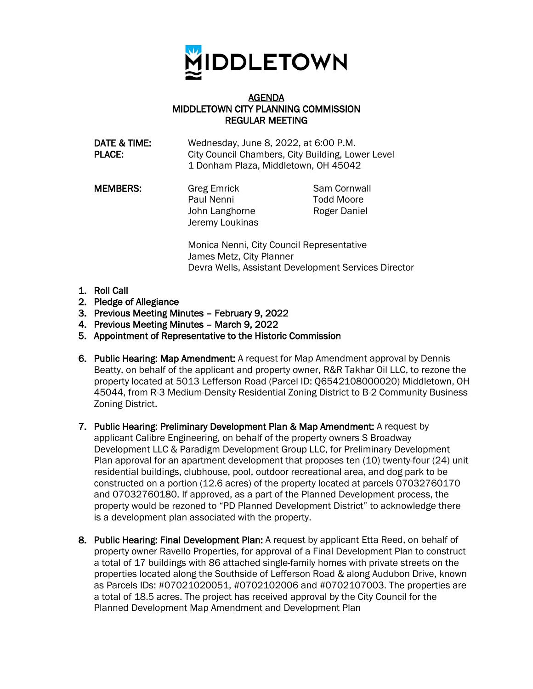

## AGENDA MIDDLETOWN CITY PLANNING COMMISSION REGULAR MEETING

DATE & TIME: Wednesday, June 8, 2022, at 6:00 P.M. PLACE: City Council Chambers, City Building, Lower Level 1 Donham Plaza, Middletown, OH 45042

**MEMBERS:** Greg Emrick Sam Cornwall Paul Nenni Todd Moore John Langhorne Roger Daniel Jeremy Loukinas

> Monica Nenni, City Council Representative James Metz, City Planner Devra Wells, Assistant Development Services Director

- 1. Roll Call
- 2. Pledge of Allegiance
- 3. Previous Meeting Minutes February 9, 2022
- 4. Previous Meeting Minutes March 9, 2022
- 5. Appointment of Representative to the Historic Commission
- 6. Public Hearing: Map Amendment: A request for Map Amendment approval by Dennis Beatty, on behalf of the applicant and property owner, R&R Takhar Oil LLC, to rezone the property located at 5013 Lefferson Road (Parcel ID: Q6542108000020) Middletown, OH 45044, from R-3 Medium-Density Residential Zoning District to B-2 Community Business Zoning District.
- 7. Public Hearing: Preliminary Development Plan & Map Amendment: A request by applicant Calibre Engineering, on behalf of the property owners S Broadway Development LLC & Paradigm Development Group LLC, for Preliminary Development Plan approval for an apartment development that proposes ten (10) twenty-four (24) unit residential buildings, clubhouse, pool, outdoor recreational area, and dog park to be constructed on a portion (12.6 acres) of the property located at parcels 07032760170 and 07032760180. If approved, as a part of the Planned Development process, the property would be rezoned to "PD Planned Development District" to acknowledge there is a development plan associated with the property.
- 8. Public Hearing: Final Development Plan: A request by applicant Etta Reed, on behalf of property owner Ravello Properties, for approval of a Final Development Plan to construct a total of 17 buildings with 86 attached single-family homes with private streets on the properties located along the Southside of Lefferson Road & along Audubon Drive, known as Parcels IDs: #07021020051, #0702102006 and #0702107003. The properties are a total of 18.5 acres. The project has received approval by the City Council for the Planned Development Map Amendment and Development Plan